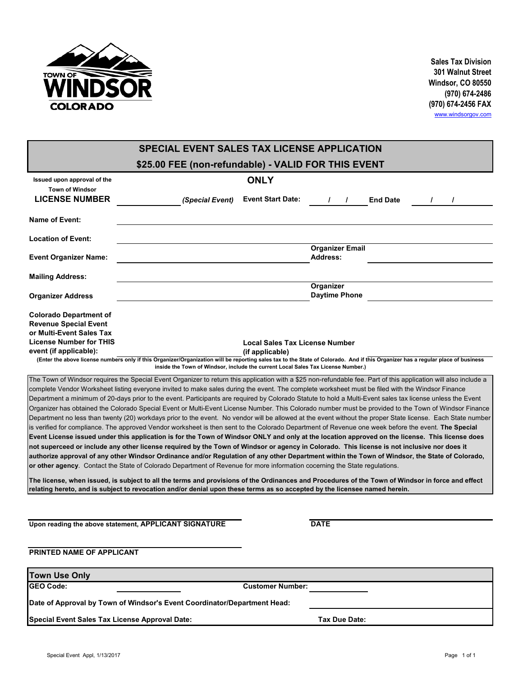

**Sales Tax Division 301 Walnut Street Windsor, CO 80550 (970) 674-2486 (970) 674-2456 FAX** [www.windsorgov.com](http://www.windsorgov.com/)

|                                                                                                                             | <b>SPECIAL EVENT SALES TAX LICENSE APPLICATION</b>                                                                                                                                                                                                                                                                   |                                         |                                           |                |  |  |  |  |  |  |
|-----------------------------------------------------------------------------------------------------------------------------|----------------------------------------------------------------------------------------------------------------------------------------------------------------------------------------------------------------------------------------------------------------------------------------------------------------------|-----------------------------------------|-------------------------------------------|----------------|--|--|--|--|--|--|
| \$25.00 FEE (non-refundable) - VALID FOR THIS EVENT                                                                         |                                                                                                                                                                                                                                                                                                                      |                                         |                                           |                |  |  |  |  |  |  |
| Issued upon approval of the<br><b>Town of Windsor</b><br><b>LICENSE NUMBER</b>                                              |                                                                                                                                                                                                                                                                                                                      | <b>ONLY</b><br><b>Event Start Date:</b> |                                           |                |  |  |  |  |  |  |
|                                                                                                                             | (Special Event)                                                                                                                                                                                                                                                                                                      |                                         | <b>End Date</b><br>$\sqrt{1}$             | $\overline{1}$ |  |  |  |  |  |  |
| Name of Event:                                                                                                              |                                                                                                                                                                                                                                                                                                                      |                                         |                                           |                |  |  |  |  |  |  |
| <b>Location of Event:</b>                                                                                                   |                                                                                                                                                                                                                                                                                                                      |                                         |                                           |                |  |  |  |  |  |  |
| <b>Event Organizer Name:</b>                                                                                                |                                                                                                                                                                                                                                                                                                                      |                                         | <b>Organizer Email</b><br><b>Address:</b> |                |  |  |  |  |  |  |
| <b>Mailing Address:</b>                                                                                                     |                                                                                                                                                                                                                                                                                                                      |                                         |                                           |                |  |  |  |  |  |  |
| <b>Organizer Address</b>                                                                                                    |                                                                                                                                                                                                                                                                                                                      |                                         | Organizer<br><b>Daytime Phone</b>         |                |  |  |  |  |  |  |
| <b>Colorado Department of</b><br><b>Revenue Special Event</b><br>or Multi-Event Sales Tax<br><b>License Number for THIS</b> |                                                                                                                                                                                                                                                                                                                      | <b>Local Sales Tax License Number</b>   |                                           |                |  |  |  |  |  |  |
| event (if applicable):                                                                                                      |                                                                                                                                                                                                                                                                                                                      | (if applicable)                         |                                           |                |  |  |  |  |  |  |
|                                                                                                                             | (Enter the above license numbers only if this Organizer/Organization will be reporting sales tax to the State of Colorado. And if this Organizer has a regular place of business<br>inside the Town of Windsor, include the current Local Sales Tax License Number.)                                                 |                                         |                                           |                |  |  |  |  |  |  |
|                                                                                                                             |                                                                                                                                                                                                                                                                                                                      |                                         |                                           |                |  |  |  |  |  |  |
|                                                                                                                             | The Town of Windsor requires the Special Event Organizer to return this application with a \$25 non-refundable fee. Part of this application will also include a<br>complete Vendor Worksheet listing everyone invited to make sales during the event. The complete worksheet must be filed with the Windsor Finance |                                         |                                           |                |  |  |  |  |  |  |
|                                                                                                                             | Department a minimum of 20-days prior to the event. Participants are required by Colorado Statute to hold a Multi-Event sales tax license unless the Event                                                                                                                                                           |                                         |                                           |                |  |  |  |  |  |  |
|                                                                                                                             | Organizer has obtained the Colorado Special Event or Multi-Event License Number. This Colorado number must be provided to the Town of Windsor Finance                                                                                                                                                                |                                         |                                           |                |  |  |  |  |  |  |
|                                                                                                                             | Department no less than twenty (20) workdays prior to the event. No vendor will be allowed at the event without the proper State license. Each State number                                                                                                                                                          |                                         |                                           |                |  |  |  |  |  |  |
|                                                                                                                             | is verified for compliance. The approved Vendor worksheet is then sent to the Colorado Department of Revenue one week before the event. The Special                                                                                                                                                                  |                                         |                                           |                |  |  |  |  |  |  |
|                                                                                                                             | Event License issued under this application is for the Town of Windsor ONLY and only at the location approved on the license. This license does                                                                                                                                                                      |                                         |                                           |                |  |  |  |  |  |  |
|                                                                                                                             | not superceed or include any other license required by the Town of Windsor or agency in Colorado. This license is not inclusive nor does it                                                                                                                                                                          |                                         |                                           |                |  |  |  |  |  |  |
|                                                                                                                             | authorize approval of any other Windsor Ordinance and/or Regulation of any other Department within the Town of Windsor, the State of Colorado,                                                                                                                                                                       |                                         |                                           |                |  |  |  |  |  |  |
|                                                                                                                             | or other agency. Contact the State of Colorado Department of Revenue for more information cocerning the State regulations.                                                                                                                                                                                           |                                         |                                           |                |  |  |  |  |  |  |
|                                                                                                                             | The license, when issued, is subject to all the terms and provisions of the Ordinances and Procedures of the Town of Windsor in force and effect<br>relating hereto, and is subject to revocation and/or denial upon these terms as so accepted by the licensee named herein.                                        |                                         |                                           |                |  |  |  |  |  |  |
|                                                                                                                             |                                                                                                                                                                                                                                                                                                                      |                                         |                                           |                |  |  |  |  |  |  |
|                                                                                                                             | Upon reading the above statement, APPLICANT SIGNATURE                                                                                                                                                                                                                                                                |                                         | <b>DATE</b>                               |                |  |  |  |  |  |  |
|                                                                                                                             |                                                                                                                                                                                                                                                                                                                      |                                         |                                           |                |  |  |  |  |  |  |
| PRINTED NAME OF APPLICANT                                                                                                   |                                                                                                                                                                                                                                                                                                                      |                                         |                                           |                |  |  |  |  |  |  |
| <b>Town Use Only</b>                                                                                                        |                                                                                                                                                                                                                                                                                                                      |                                         |                                           |                |  |  |  |  |  |  |
| <b>GEO Code:</b>                                                                                                            |                                                                                                                                                                                                                                                                                                                      | <b>Customer Number:</b>                 |                                           |                |  |  |  |  |  |  |
|                                                                                                                             | Date of Approval by Town of Windsor's Event Coordinator/Department Head:                                                                                                                                                                                                                                             |                                         |                                           |                |  |  |  |  |  |  |
| Special Event Sales Tax License Approval Date:                                                                              |                                                                                                                                                                                                                                                                                                                      |                                         | Tax Due Date:                             |                |  |  |  |  |  |  |